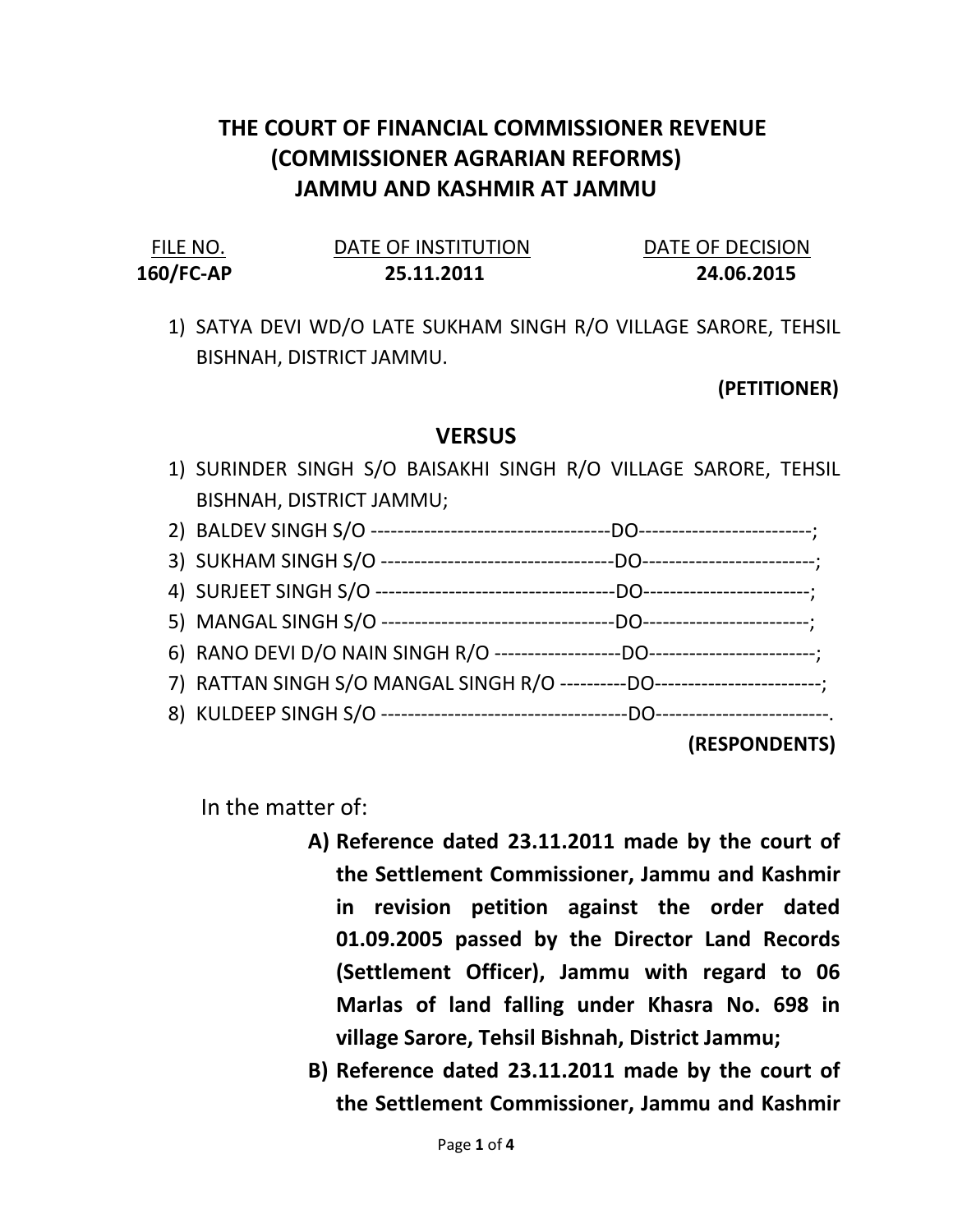## THE COURT OF FINANCIAL COMMISSIONER REVENUE (COMMISSIONER AGRARIAN REFORMS) JAMMU AND KASHMIR AT JAMMU

| FILE NO.  | DATE OF INSTITUTION | DATE OF DECISION |
|-----------|---------------------|------------------|
| 160/FC-AP | 25.11.2011          | 24.06.2015       |

1) SATYA DEVI WD/O LATE SUKHAM SINGH R/O VILLAGE SARORE, TEHSIL BISHNAH, DISTRICT JAMMU.

(PETITIONER)

## **VERSUS**

1) SURINDER SINGH S/O BAISAKHI SINGH R/O VILLAGE SARORE, TEHSIL BISHNAH, DISTRICT JAMMU;

| 7) RATTAN SINGH S/O MANGAL SINGH R/O ----------DO-----------------------; |  |
|---------------------------------------------------------------------------|--|
|                                                                           |  |

(RESPONDENTS)

In the matter of:

- A) Reference dated 23.11.2011 made by the court of the Settlement Commissioner, Jammu and Kashmir in revision petition against the order dated 01.09.2005 passed by the Director Land Records (Settlement Officer), Jammu with regard to 06 Marlas of land falling under Khasra No. 698 in village Sarore, Tehsil Bishnah, District Jammu;
- B) Reference dated 23.11.2011 made by the court of the Settlement Commissioner, Jammu and Kashmir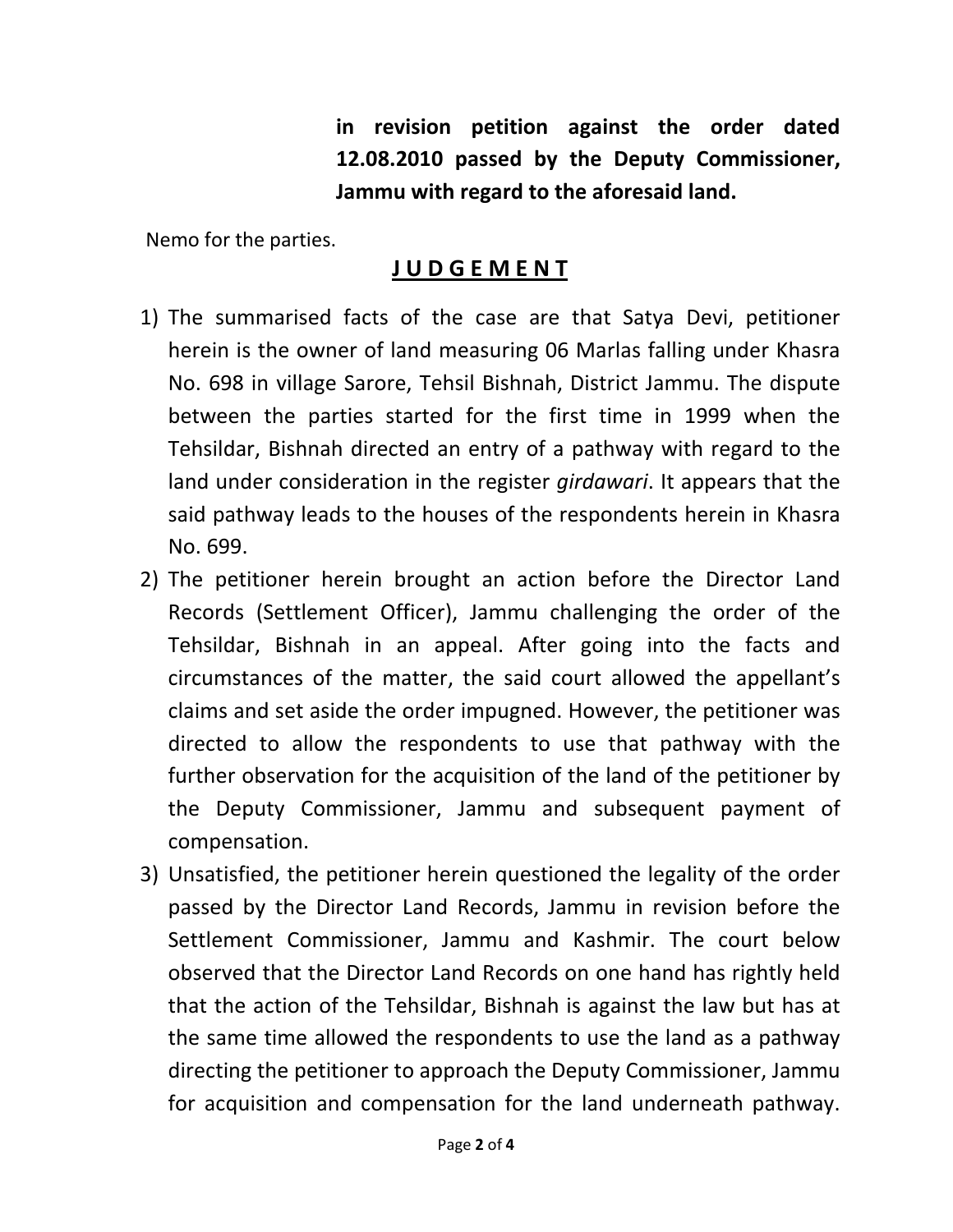in revision petition against the order dated 12.08.2010 passed by the Deputy Commissioner, Jammu with regard to the aforesaid land.

Nemo for the parties.

## J U D G E M E N T

- 1) The summarised facts of the case are that Satya Devi, petitioner herein is the owner of land measuring 06 Marlas falling under Khasra No. 698 in village Sarore, Tehsil Bishnah, District Jammu. The dispute between the parties started for the first time in 1999 when the Tehsildar, Bishnah directed an entry of a pathway with regard to the land under consideration in the register girdawari. It appears that the said pathway leads to the houses of the respondents herein in Khasra No. 699.
- 2) The petitioner herein brought an action before the Director Land Records (Settlement Officer), Jammu challenging the order of the Tehsildar, Bishnah in an appeal. After going into the facts and circumstances of the matter, the said court allowed the appellant's claims and set aside the order impugned. However, the petitioner was directed to allow the respondents to use that pathway with the further observation for the acquisition of the land of the petitioner by the Deputy Commissioner, Jammu and subsequent payment of compensation.
- 3) Unsatisfied, the petitioner herein questioned the legality of the order passed by the Director Land Records, Jammu in revision before the Settlement Commissioner, Jammu and Kashmir. The court below observed that the Director Land Records on one hand has rightly held that the action of the Tehsildar, Bishnah is against the law but has at the same time allowed the respondents to use the land as a pathway directing the petitioner to approach the Deputy Commissioner, Jammu for acquisition and compensation for the land underneath pathway.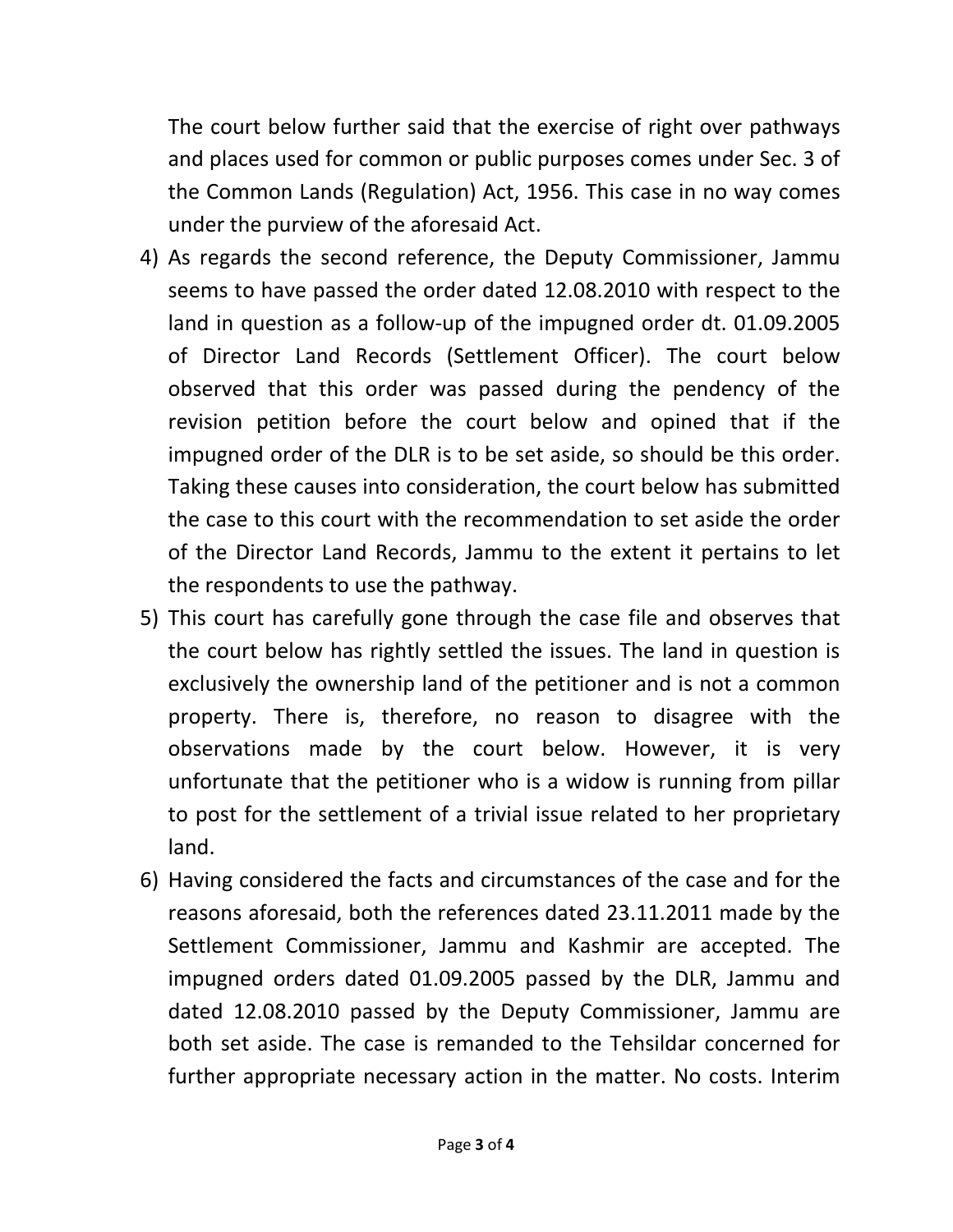The court below further said that the exercise of right over pathways and places used for common or public purposes comes under Sec. 3 of the Common Lands (Regulation) Act, 1956. This case in no way comes under the purview of the aforesaid Act.

- 4) As regards the second reference, the Deputy Commissioner, Jammu seems to have passed the order dated 12.08.2010 with respect to the land in question as a follow-up of the impugned order dt. 01.09.2005 of Director Land Records (Settlement Officer). The court below observed that this order was passed during the pendency of the revision petition before the court below and opined that if the impugned order of the DLR is to be set aside, so should be this order. Taking these causes into consideration, the court below has submitted the case to this court with the recommendation to set aside the order of the Director Land Records, Jammu to the extent it pertains to let the respondents to use the pathway.
- 5) This court has carefully gone through the case file and observes that the court below has rightly settled the issues. The land in question is exclusively the ownership land of the petitioner and is not a common property. There is, therefore, no reason to disagree with the observations made by the court below. However, it is very unfortunate that the petitioner who is a widow is running from pillar to post for the settlement of a trivial issue related to her proprietary land.
- 6) Having considered the facts and circumstances of the case and for the reasons aforesaid, both the references dated 23.11.2011 made by the Settlement Commissioner, Jammu and Kashmir are accepted. The impugned orders dated 01.09.2005 passed by the DLR, Jammu and dated 12.08.2010 passed by the Deputy Commissioner, Jammu are both set aside. The case is remanded to the Tehsildar concerned for further appropriate necessary action in the matter. No costs. Interim